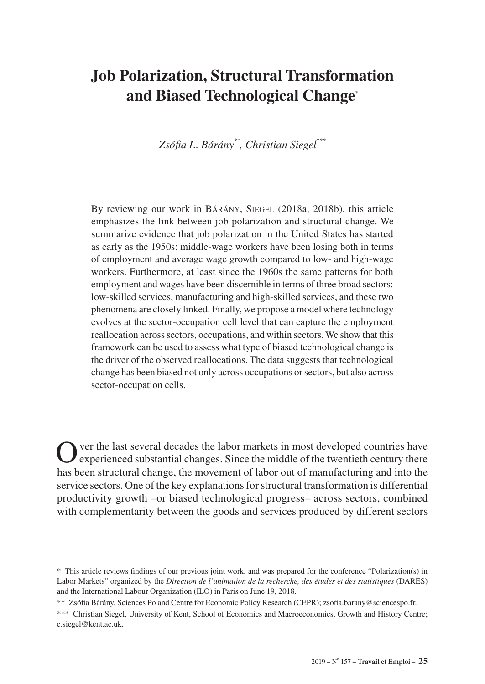# **Job Polarization, Structural Transformation and Biased Technological Change\***

*Zsófia L. Bárány\*\*, Christian Siegel\*\*\**

By reviewing our work in BÁRÁNY, SIEGEL (2018a, 2018b), this article emphasizes the link between job polarization and structural change. We summarize evidence that job polarization in the United States has started as early as the 1950s: middle-wage workers have been losing both in terms of employment and average wage growth compared to low- and high-wage workers. Furthermore, at least since the 1960s the same patterns for both employment and wages have been discernible in terms of three broad sectors: low-skilled services, manufacturing and high-skilled services, and these two phenomena are closely linked. Finally, we propose a model where technology evolves at the sector-occupation cell level that can capture the employment reallocation across sectors, occupations, and within sectors. We show that this framework can be used to assess what type of biased technological change is the driver of the observed reallocations. The data suggests that technological change has been biased not only across occupations or sectors, but also across sector-occupation cells.

Over the last several decades the labor markets in most developed countries have experienced substantial changes. Since the middle of the twentieth century there has been structural change, the movement of labor out of manufacturing and into the service sectors. One of the key explanations for structural transformation is differential productivity growth –or biased technological progress– across sectors, combined with complementarity between the goods and services produced by different sectors

<sup>\*</sup> This article reviews findings of our previous joint work, and was prepared for the conference "Polarization(s) in Labor Markets" organized by the *Direction de l'animation de la recherche, des études et des statistiques* (DARES) and the International Labour Organization (ILO) in Paris on June 19, 2018.

<sup>\*\*</sup> Zsófia Bárány, Sciences Po and Centre for Economic Policy Research (CEPR); [zsofia.barany@sciencespo.fr](mailto:zsofia.barany%40sciencespo.fr?subject=).

<sup>\*\*\*</sup> Christian Siegel, University of Kent, School of Economics and Macroeconomics, Growth and History Centre; [c.siegel@kent.ac.uk.](mailto:c.siegel%40kent.ac.uk?subject=)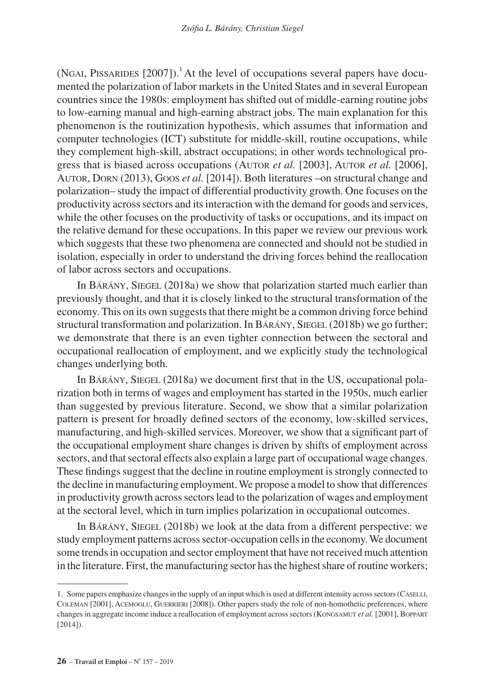(NGAI, PISSARIDES  $[2007]$ ).<sup>1</sup> At the level of occupations several papers have documented the polarization of labor markets in the United States and in several European countries since the 1980s: employment has shifted out of middle-earning routine jobs to low-earning manual and high-earning abstract jobs. The main explanation for this phenomenon is the routinization hypothesis, which assumes that information and computer technologies (ICT) substitute for middle-skill, routine occupations, while they complement high-skill, abstract occupations; in other words technological progress that is biased across occupations (Autor *et al.* [2003], Autor *et al.* [2006], Autor, Dorn (2013), Goos *et al.* [2014]). Both literatures –on structural change and polarization– study the impact of differential productivity growth. One focuses on the productivity across sectors and its interaction with the demand for goods and services, while the other focuses on the productivity of tasks or occupations, and its impact on the relative demand for these occupations. In this paper we review our previous work which suggests that these two phenomena are connected and should not be studied in isolation, especially in order to understand the driving forces behind the reallocation of labor across sectors and occupations.

In BÁRÁNY, SIEGEL (2018a) we show that polarization started much earlier than previously thought, and that it is closely linked to the structural transformation of the economy. This on its own suggests that there might be a common driving force behind structural transformation and polarization. In BARANY, SIEGEL (2018b) we go further; we demonstrate that there is an even tighter connection between the sectoral and occupational reallocation of employment, and we explicitly study the technological changes underlying both.

In BÁRÁNY, SIEGEL (2018a) we document first that in the US, occupational polarization both in terms of wages and employment has started in the 1950s, much earlier than suggested by previous literature. Second, we show that a similar polarization pattern is present for broadly defined sectors of the economy, low-skilled services, manufacturing, and high-skilled services. Moreover, we show that a significant part of the occupational employment share changes is driven by shifts of employment across sectors, and that sectoral effects also explain a large part of occupational wage changes. These findings suggest that the decline in routine employment is strongly connected to the decline in manufacturing employment. We propose a model to show that differences in productivity growth across sectors lead to the polarization of wages and employment at the sectoral level, which in turn implies polarization in occupational outcomes.

In Bárány, Siegel (2018b) we look at the data from a different perspective: we study employment patterns across sector-occupation cells in the economy. We document some trends in occupation and sector employment that have not received much attention in the literature. First, the manufacturing sector has the highest share of routine workers;

<sup>1.</sup> Some papers emphasize changes in the supply of an input which is used at different intensity across sectors (Caselli, Coleman [2001], Acemoglu, Guerrieri [2008]). Other papers study the role of non-homothetic preferences, where changes in aggregate income induce a reallocation of employment across sectors (KONGSAMUT *et al.* [2001], BOPPART [2014]).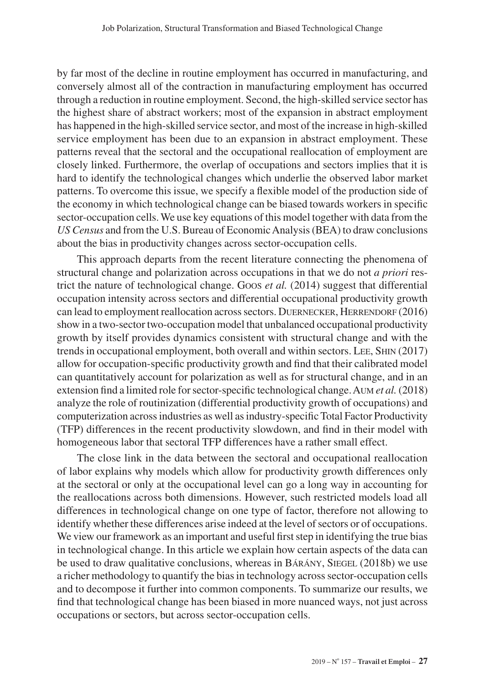by far most of the decline in routine employment has occurred in manufacturing, and conversely almost all of the contraction in manufacturing employment has occurred through a reduction in routine employment. Second, the high-skilled service sector has the highest share of abstract workers; most of the expansion in abstract employment has happened in the high-skilled service sector, and most of the increase in high-skilled service employment has been due to an expansion in abstract employment. These patterns reveal that the sectoral and the occupational reallocation of employment are closely linked. Furthermore, the overlap of occupations and sectors implies that it is hard to identify the technological changes which underlie the observed labor market patterns. To overcome this issue, we specify a flexible model of the production side of the economy in which technological change can be biased towards workers in specific sector-occupation cells. We use key equations of this model together with data from the *US Census* and from the U.S. Bureau of Economic Analysis (BEA) to draw conclusions about the bias in productivity changes across sector-occupation cells.

This approach departs from the recent literature connecting the phenomena of structural change and polarization across occupations in that we do not *a priori* restrict the nature of technological change. Goos *et al.* (2014) suggest that differential occupation intensity across sectors and differential occupational productivity growth can lead to employment reallocation across sectors. DUERNECKER, HERRENDORF (2016) show in a two-sector two-occupation model that unbalanced occupational productivity growth by itself provides dynamics consistent with structural change and with the trends in occupational employment, both overall and within sectors. Lee, Shin (2017) allow for occupation-specific productivity growth and find that their calibrated model can quantitatively account for polarization as well as for structural change, and in an extension find a limited role for sector-specific technological change. Aum *et al.* (2018) analyze the role of routinization (differential productivity growth of occupations) and computerization across industries as well as industry-specific Total Factor Productivity (TFP) differences in the recent productivity slowdown, and find in their model with homogeneous labor that sectoral TFP differences have a rather small effect.

The close link in the data between the sectoral and occupational reallocation of labor explains why models which allow for productivity growth differences only at the sectoral or only at the occupational level can go a long way in accounting for the reallocations across both dimensions. However, such restricted models load all differences in technological change on one type of factor, therefore not allowing to identify whether these differences arise indeed at the level of sectors or of occupations. We view our framework as an important and useful first step in identifying the true bias in technological change. In this article we explain how certain aspects of the data can be used to draw qualitative conclusions, whereas in BARANY, SIEGEL (2018b) we use a richer methodology to quantify the bias in technology across sector-occupation cells and to decompose it further into common components. To summarize our results, we find that technological change has been biased in more nuanced ways, not just across occupations or sectors, but across sector-occupation cells.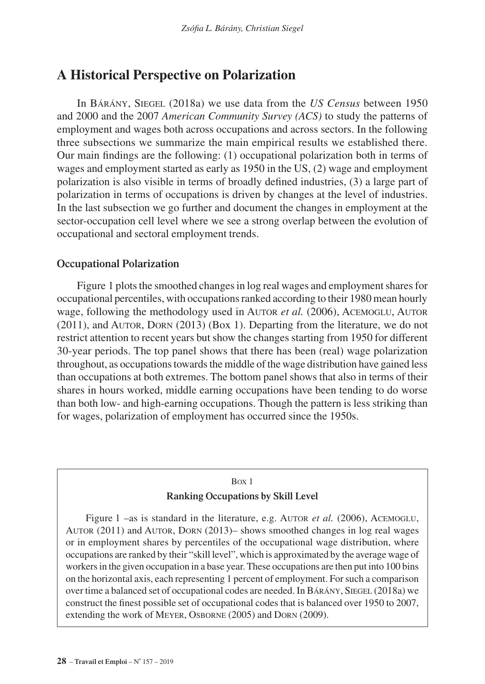## **A Historical Perspective on Polarization**

In Bárány, Siegel (2018a) we use data from the *US Census* between 1950 and 2000 and the 2007 *American Community Survey (ACS)* to study the patterns of employment and wages both across occupations and across sectors. In the following three subsections we summarize the main empirical results we established there. Our main findings are the following: (1) occupational polarization both in terms of wages and employment started as early as 1950 in the US, (2) wage and employment polarization is also visible in terms of broadly defined industries, (3) a large part of polarization in terms of occupations is driven by changes at the level of industries. In the last subsection we go further and document the changes in employment at the sector-occupation cell level where we see a strong overlap between the evolution of occupational and sectoral employment trends.

## **Occupational Polarization**

Figure 1 plots the smoothed changes in log real wages and employment shares for occupational percentiles, with occupations ranked according to their 1980 mean hourly wage, following the methodology used in AUTOR *et al.* (2006), ACEMOGLU, AUTOR (2011), and Autor, Dorn (2013) (Box 1). Departing from the literature, we do not restrict attention to recent years but show the changes starting from 1950 for different 30-year periods. The top panel shows that there has been (real) wage polarization throughout, as occupations towards the middle of the wage distribution have gained less than occupations at both extremes. The bottom panel shows that also in terms of their shares in hours worked, middle earning occupations have been tending to do worse than both low- and high-earning occupations. Though the pattern is less striking than for wages, polarization of employment has occurred since the 1950s.

### Box 1

## **Ranking Occupations by Skill Level**

Figure 1 –as is standard in the literature, e.g. AUTOR *et al.* (2006), ACEMOGLU, Autor (2011) and Autor, Dorn (2013)– shows smoothed changes in log real wages or in employment shares by percentiles of the occupational wage distribution, where occupations are ranked by their "skill level", which is approximated by the average wage of workers in the given occupation in a base year. These occupations are then put into 100 bins on the horizontal axis, each representing 1 percent of employment. For such a comparison over time a balanced set of occupational codes are needed. In BARANY, SIEGEL (2018a) we construct the finest possible set of occupational codes that is balanced over 1950 to 2007, extending the work of Meyer, Osborne (2005) and Dorn (2009).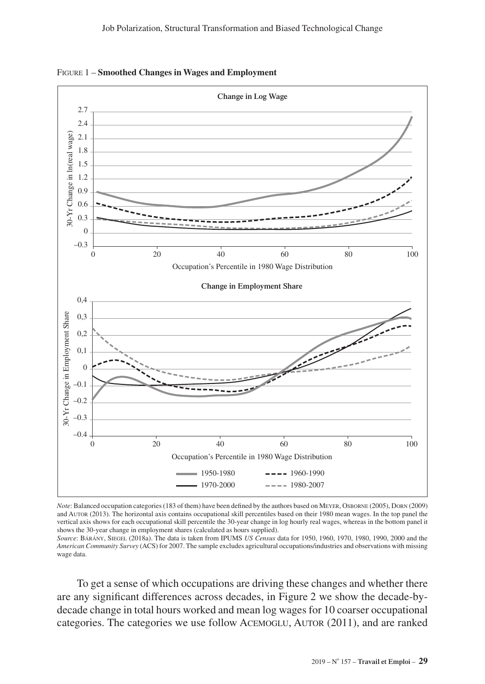

Figure 1 – **Smoothed Changes in Wages and Employment**

*Note*: Balanced occupation categories (183 of them) have been defined by the authors based on Meyer, Osborne (2005), Dorn (2009) and Autor (2013). The horizontal axis contains occupational skill percentiles based on their 1980 mean wages. In the top panel the vertical axis shows for each occupational skill percentile the 30-year change in log hourly real wages, whereas in the bottom panel it shows the 30-year change in employment shares (calculated as hours supplied).

*Source*: Bárány, Siegel (2018a). The data is taken from IPUMS *US Census* data for 1950, 1960, 1970, 1980, 1990, 2000 and the *American Community Survey* (ACS) for 2007. The sample excludes agricultural occupations/industries and observations with missing wage data.

To get a sense of which occupations are driving these changes and whether there are any significant differences across decades, in Figure 2 we show the decade-bydecade change in total hours worked and mean log wages for 10 coarser occupational categories. The categories we use follow Acemoglu, Autor (2011), and are ranked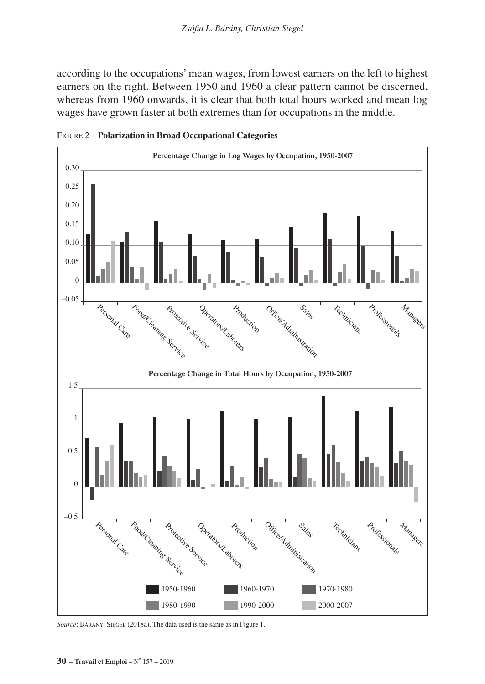according to the occupations' mean wages, from lowest earners on the left to highest earners on the right. Between 1950 and 1960 a clear pattern cannot be discerned, whereas from 1960 onwards, it is clear that both total hours worked and mean log wages have grown faster at both extremes than for occupations in the middle.



Figure 2 – **Polarization in Broad Occupational Categories**

*Source*: BÁRÁNY, SIEGEL (2018a). The data used is the same as in Figure 1.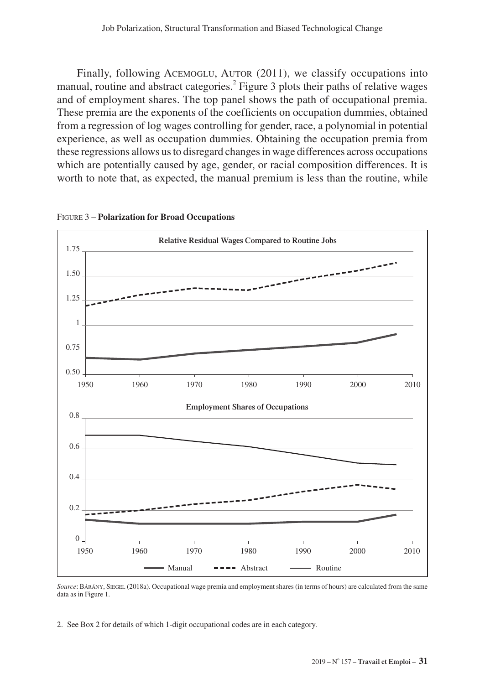Finally, following ACEMOGLU, AUTOR (2011), we classify occupations into manual, routine and abstract categories.<sup>2</sup> Figure 3 plots their paths of relative wages and of employment shares. The top panel shows the path of occupational premia. These premia are the exponents of the coefficients on occupation dummies, obtained from a regression of log wages controlling for gender, race, a polynomial in potential experience, as well as occupation dummies. Obtaining the occupation premia from these regressions allows us to disregard changes in wage differences across occupations which are potentially caused by age, gender, or racial composition differences. It is worth to note that, as expected, the manual premium is less than the routine, while





*Source*: Bárány, Siegel (2018a). Occupational wage premia and employment shares (in terms of hours) are calculated from the same data as in Figure 1.

2. See Box 2 for details of which 1-digit occupational codes are in each category.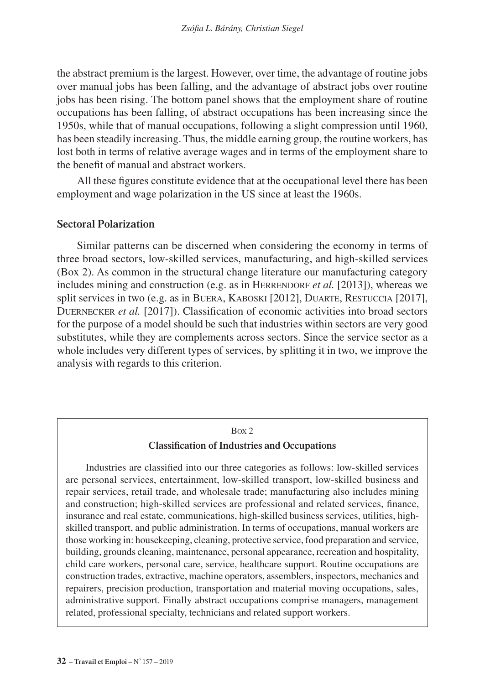the abstract premium is the largest. However, over time, the advantage of routine jobs over manual jobs has been falling, and the advantage of abstract jobs over routine jobs has been rising. The bottom panel shows that the employment share of routine occupations has been falling, of abstract occupations has been increasing since the 1950s, while that of manual occupations, following a slight compression until 1960, has been steadily increasing. Thus, the middle earning group, the routine workers, has lost both in terms of relative average wages and in terms of the employment share to the benefit of manual and abstract workers.

All these figures constitute evidence that at the occupational level there has been employment and wage polarization in the US since at least the 1960s.

## **Sectoral Polarization**

Similar patterns can be discerned when considering the economy in terms of three broad sectors, low-skilled services, manufacturing, and high-skilled services (Box 2). As common in the structural change literature our manufacturing category includes mining and construction (e.g. as in HERRENDORF *et al.* [2013]), whereas we split services in two (e.g. as in BUERA, KABOSKI [2012], DUARTE, RESTUCCIA [2017], Duernecker *et al.* [2017]). Classification of economic activities into broad sectors for the purpose of a model should be such that industries within sectors are very good substitutes, while they are complements across sectors. Since the service sector as a whole includes very different types of services, by splitting it in two, we improve the analysis with regards to this criterion.

## Box 2 **Classification of Industries and Occupations**

Industries are classified into our three categories as follows: low-skilled services are personal services, entertainment, low-skilled transport, low-skilled business and repair services, retail trade, and wholesale trade; manufacturing also includes mining and construction; high-skilled services are professional and related services, finance, insurance and real estate, communications, high-skilled business services, utilities, highskilled transport, and public administration. In terms of occupations, manual workers are those working in: housekeeping, cleaning, protective service, food preparation and service, building, grounds cleaning, maintenance, personal appearance, recreation and hospitality, child care workers, personal care, service, healthcare support. Routine occupations are construction trades, extractive, machine operators, assemblers, inspectors, mechanics and repairers, precision production, transportation and material moving occupations, sales, administrative support. Finally abstract occupations comprise managers, management related, professional specialty, technicians and related support workers.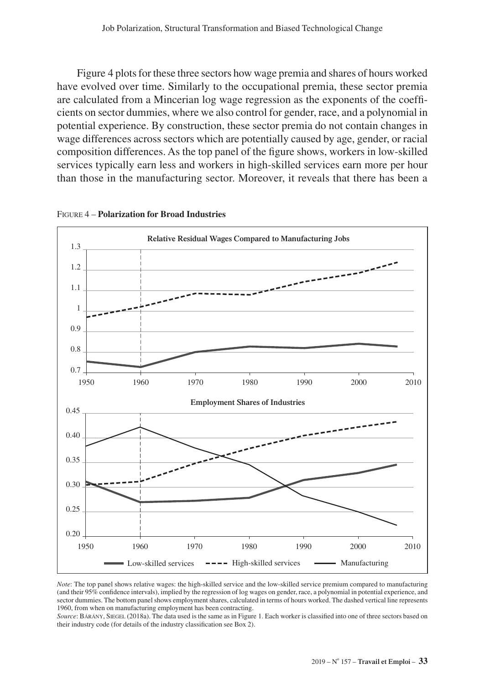Figure 4 plots for these three sectors how wage premia and shares of hours worked have evolved over time. Similarly to the occupational premia, these sector premia are calculated from a Mincerian log wage regression as the exponents of the coefficients on sector dummies, where we also control for gender, race, and a polynomial in potential experience. By construction, these sector premia do not contain changes in wage differences across sectors which are potentially caused by age, gender, or racial composition differences. As the top panel of the figure shows, workers in low-skilled services typically earn less and workers in high-skilled services earn more per hour than those in the manufacturing sector. Moreover, it reveals that there has been a





*Note*: The top panel shows relative wages: the high-skilled service and the low-skilled service premium compared to manufacturing (and their 95% confidence intervals), implied by the regression of log wages on gender, race, a polynomial in potential experience, and sector dummies. The bottom panel shows employment shares, calculated in terms of hours worked. The dashed vertical line represents 1960, from when on manufacturing employment has been contracting.

*Source*: Bárány, Siegel (2018a). The data used is the same as in Figure 1. Each worker is classified into one of three sectors based on their industry code (for details of the industry classification see Box 2).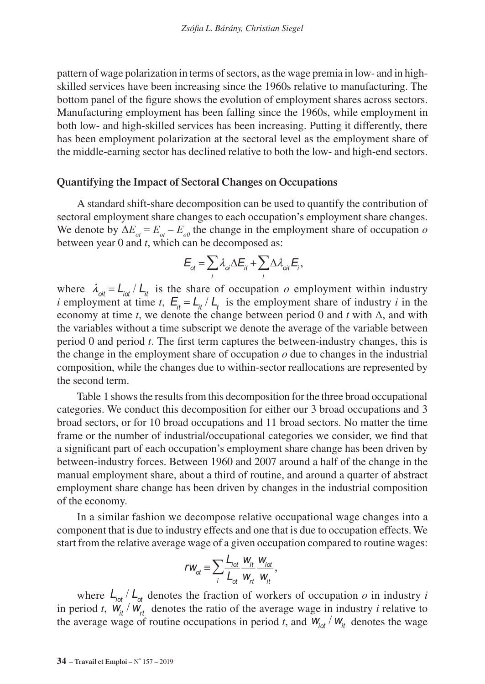pattern of wage polarization in terms of sectors, as the wage premia in low- and in highskilled services have been increasing since the 1960s relative to manufacturing. The bottom panel of the figure shows the evolution of employment shares across sectors. Manufacturing employment has been falling since the 1960s, while employment in both low- and high-skilled services has been increasing. Putting it differently, there has been employment polarization at the sectoral level as the employment share of the middle-earning sector has declined relative to both the low- and high-end sectors.

## **Quantifying the Impact of Sectoral Changes on Occupations**

A standard shift-share decomposition can be used to quantify the contribution of sectoral employment share changes to each occupation's employment share changes. We denote by  $\Delta E_{\alpha} = E_{\alpha} - E_{\alpha}$  the change in the employment share of occupation *o* between year 0 and *t*, which can be decomposed as:

$$
E_{\rm ot} = \sum_{i} \lambda_{\rm ci} \Delta E_{it} + \sum_{i} \Delta \lambda_{\rm ori} E_{i},
$$

where  $\lambda_{\text{oit}} = L_{\text{tot}} / L_{\text{th}}$  is the share of occupation *o* employment within industry *i* employment at time *t*,  $E_{\mu} = L_{\mu} / L_{\tau}$  is the employment share of industry *i* in the economy at time *t*, we denote the change between period 0 and *t* with Δ, and with the variables without a time subscript we denote the average of the variable between period 0 and period *t*. The first term captures the between-industry changes, this is the change in the employment share of occupation  $\rho$  due to changes in the industrial composition, while the changes due to within-sector reallocations are represented by the second term.

Table 1 shows the results from this decomposition for the three broad occupational categories. We conduct this decomposition for either our 3 broad occupations and 3 broad sectors, or for 10 broad occupations and 11 broad sectors. No matter the time frame or the number of industrial/occupational categories we consider, we find that a significant part of each occupation's employment share change has been driven by between-industry forces. Between 1960 and 2007 around a half of the change in the manual employment share, about a third of routine, and around a quarter of abstract employment share change has been driven by changes in the industrial composition of the economy.

In a similar fashion we decompose relative occupational wage changes into a component that is due to industry effects and one that is due to occupation effects. We start from the relative average wage of a given occupation compared to routine wages:

$$
rw_{ot} \equiv \sum_{i} \frac{L_{tot}}{L_{ot}} \frac{w_{it}}{w_{rt}} \frac{w_{tot}}{w_{it}},
$$

where  $\frac{d}{dt}$   $\frac{d}{dt}$  denotes the fraction of workers of occupation *o* in industry *i* in period *t*,  $W_{it} / W_{rt}$  denotes the ratio of the average wage in industry *i* relative to the average wage of routine occupations in period *t*, and  $W_{\text{tot}} / W_{\text{th}}$  denotes the wage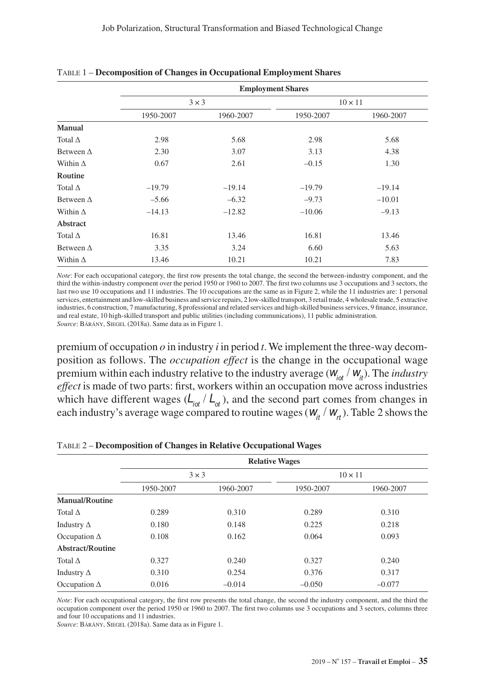|                   | <b>Employment Shares</b> |           |                |           |  |
|-------------------|--------------------------|-----------|----------------|-----------|--|
|                   | $3 \times 3$             |           | $10 \times 11$ |           |  |
|                   | 1950-2007                | 1960-2007 | 1950-2007      | 1960-2007 |  |
| Manual            |                          |           |                |           |  |
| Total $\Delta$    | 2.98                     | 5.68      | 2.98           | 5.68      |  |
| Between $\Delta$  | 2.30                     | 3.07      | 3.13           | 4.38      |  |
| Within $\Delta$   | 0.67                     | 2.61      | $-0.15$        | 1.30      |  |
| Routine           |                          |           |                |           |  |
| Total $\Delta$    | $-19.79$                 | $-19.14$  | $-19.79$       | $-19.14$  |  |
| Between $\Delta$  | $-5.66$                  | $-6.32$   | $-9.73$        | $-10.01$  |  |
| Within $\Delta$   | $-14.13$                 | $-12.82$  | $-10.06$       | $-9.13$   |  |
| Abstract          |                          |           |                |           |  |
| Total $\Delta$    | 16.81                    | 13.46     | 16.81          | 13.46     |  |
| Between $\Lambda$ | 3.35                     | 3.24      | 6.60           | 5.63      |  |
| Within $\Delta$   | 13.46                    | 10.21     | 10.21          | 7.83      |  |

Table 1 – **Decomposition of Changes in Occupational Employment Shares**

*Note*: For each occupational category, the first row presents the total change, the second the between-industry component, and the third the within-industry component over the period 1950 or 1960 to 2007. The first two columns use 3 occupations and 3 sectors, the last two use 10 occupations and 11 industries. The 10 occupations are the same as in Figure 2, while the 11 industries are: 1 personal services, entertainment and low-skilled business and service repairs, 2 low-skilled transport, 3 retail trade, 4 wholesale trade, 5 extractive industries, 6 construction, 7 manufacturing, 8 professional and related services and high-skilled business services, 9 finance, insurance, and real estate, 10 high-skilled transport and public utilities (including communications), 11 public administration. *Source*: Bárány, Siegel (2018a). Same data as in Figure 1.

premium of occupation  $\rho$  in industry *i* in period *t*. We implement the three-way decomposition as follows. The *occupation effect* is the change in the occupational wage premium within each industry relative to the industry average ( $W_{i\alpha}$  /  $W_{i\beta}$ ). The *industry effect* is made of two parts: first, workers within an occupation move across industries which have different wages  $(L_{\text{tot}} / L_{\text{et}})$ , and the second part comes from changes in each industry's average wage compared to routine wages ( $W_{it} / W_{rt}$ ). Table 2 shows the

|                     | <b>Relative Wages</b> |           |                |           |  |
|---------------------|-----------------------|-----------|----------------|-----------|--|
|                     | $3 \times 3$          |           | $10 \times 11$ |           |  |
|                     | 1950-2007             | 1960-2007 | 1950-2007      | 1960-2007 |  |
| Manual/Routine      |                       |           |                |           |  |
| Total $\Lambda$     | 0.289                 | 0.310     | 0.289          | 0.310     |  |
| Industry $\Delta$   | 0.180                 | 0.148     | 0.225          | 0.218     |  |
| Occupation $\Delta$ | 0.108                 | 0.162     | 0.064          | 0.093     |  |
| Abstract/Routine    |                       |           |                |           |  |
| Total $\Lambda$     | 0.327                 | 0.240     | 0.327          | 0.240     |  |
| Industry $\Delta$   | 0.310                 | 0.254     | 0.376          | 0.317     |  |
| Occupation $\Delta$ | 0.016                 | $-0.014$  | $-0.050$       | $-0.077$  |  |

#### Table 2 – **Decomposition of Changes in Relative Occupational Wages**

*Note*: For each occupational category, the first row presents the total change, the second the industry component, and the third the occupation component over the period 1950 or 1960 to 2007. The first two columns use 3 occupations and 3 sectors, columns three and four 10 occupations and 11 industries.

*Source*: Bárány, Siegel (2018a). Same data as in Figure 1.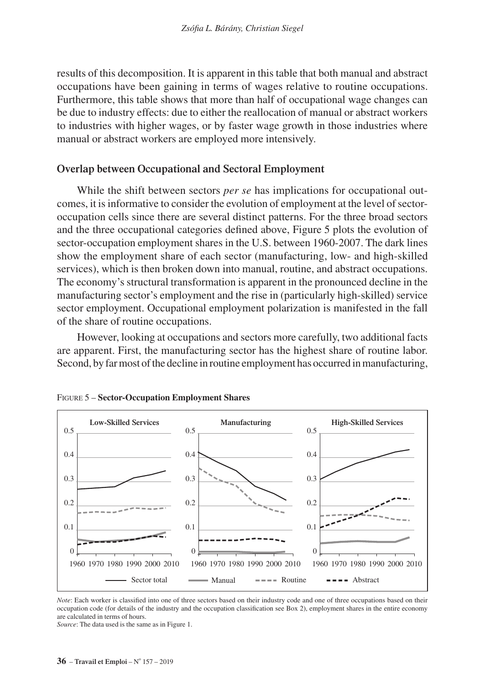results of this decomposition. It is apparent in this table that both manual and abstract occupations have been gaining in terms of wages relative to routine occupations. Furthermore, this table shows that more than half of occupational wage changes can be due to industry effects: due to either the reallocation of manual or abstract workers to industries with higher wages, or by faster wage growth in those industries where manual or abstract workers are employed more intensively.

## **Overlap between Occupational and Sectoral Employment**

While the shift between sectors *per se* has implications for occupational outcomes, it is informative to consider the evolution of employment at the level of sectoroccupation cells since there are several distinct patterns. For the three broad sectors and the three occupational categories defined above, Figure 5 plots the evolution of sector-occupation employment shares in the U.S. between 1960-2007. The dark lines show the employment share of each sector (manufacturing, low- and high-skilled services), which is then broken down into manual, routine, and abstract occupations. The economy's structural transformation is apparent in the pronounced decline in the manufacturing sector's employment and the rise in (particularly high-skilled) service sector employment. Occupational employment polarization is manifested in the fall of the share of routine occupations.

However, looking at occupations and sectors more carefully, two additional facts are apparent. First, the manufacturing sector has the highest share of routine labor. Second, by far most of the decline in routine employment has occurred in manufacturing,





*Note*: Each worker is classified into one of three sectors based on their industry code and one of three occupations based on their occupation code (for details of the industry and the occupation classification see Box 2), employment shares in the entire economy are calculated in terms of hours.

*Source*: The data used is the same as in Figure 1.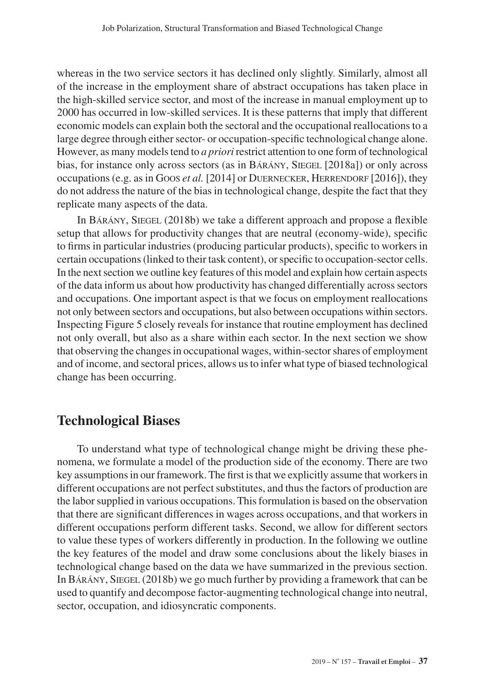whereas in the two service sectors it has declined only slightly. Similarly, almost all of the increase in the employment share of abstract occupations has taken place in the high-skilled service sector, and most of the increase in manual employment up to 2000 has occurred in low-skilled services. It is these patterns that imply that different economic models can explain both the sectoral and the occupational reallocations to a large degree through either sector- or occupation-specific technological change alone. However, as many models tend to *a priori* restrict attention to one form of technological bias, for instance only across sectors (as in BARANY, SIEGEL [2018a]) or only across occupations (e.g. as in Goos *et al.* [2014] or DUERNECKER, HERRENDORF [2016]), they do not address the nature of the bias in technological change, despite the fact that they replicate many aspects of the data.

In Bárány, Siegel (2018b) we take a different approach and propose a flexible setup that allows for productivity changes that are neutral (economy-wide), specific to firms in particular industries (producing particular products), specific to workers in certain occupations (linked to their task content), or specific to occupation-sector cells. In the next section we outline key features of this model and explain how certain aspects of the data inform us about how productivity has changed differentially across sectors and occupations. One important aspect is that we focus on employment reallocations not only between sectors and occupations, but also between occupations within sectors. Inspecting Figure 5 closely reveals for instance that routine employment has declined not only overall, but also as a share within each sector. In the next section we show that observing the changes in occupational wages, within-sector shares of employment and of income, and sectoral prices, allows us to infer what type of biased technological change has been occurring.

## **Technological Biases**

To understand what type of technological change might be driving these phenomena, we formulate a model of the production side of the economy. There are two key assumptions in our framework. The first is that we explicitly assume that workers in different occupations are not perfect substitutes, and thus the factors of production are the labor supplied in various occupations. This formulation is based on the observation that there are significant differences in wages across occupations, and that workers in different occupations perform different tasks. Second, we allow for different sectors to value these types of workers differently in production. In the following we outline the key features of the model and draw some conclusions about the likely biases in technological change based on the data we have summarized in the previous section. In Bárány, Siegel (2018b) we go much further by providing a framework that can be used to quantify and decompose factor-augmenting technological change into neutral, sector, occupation, and idiosyncratic components.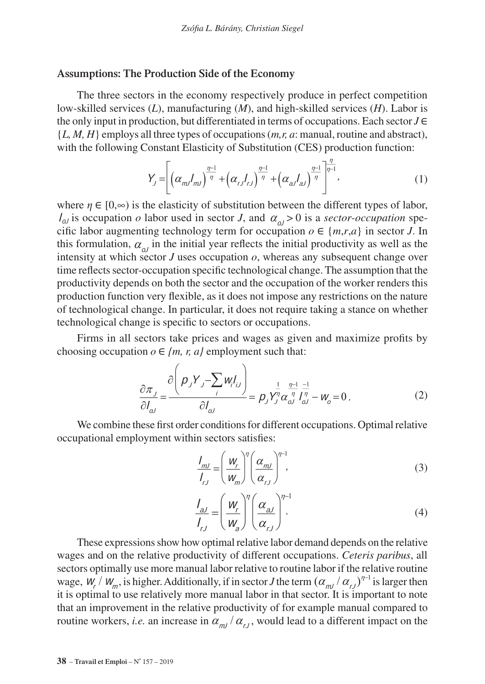#### **Assumptions: The Production side of the Economy**

The three sectors in the economy respectively produce in perfect competition low-skilled services (*L*), manufacturing (*M*), and high-skilled services (*H*). Labor is the only input in production, but differentiated in terms of occupations. Each sector *J* ∈ {*L, M, H*} employs all three types of occupations (*m,r, a*: manual, routine and abstract), with the following Constant Elasticity of Substitution (CES) production function:

$$
Y_{j} = \left[ \left( \alpha_{m} I_{m} \right)^{\frac{\eta - 1}{\eta}} + \left( \alpha_{r} I_{r} \right)^{\frac{\eta - 1}{\eta}} + \left( \alpha_{a} I_{a} \right)^{\frac{\eta - 1}{\eta}} \right]^{\frac{\eta}{\eta - 1}}, \tag{1}
$$

where  $\eta \in [0,\infty)$  is the elasticity of substitution between the different types of labor,  $I_{\alpha}$  is occupation *o* labor used in sector *J*, and  $\alpha_{\alpha}$  > 0 is a *sector-occupation* specific labor augmenting technology term for occupation  $o \in \{m,r,a\}$  in sector *J*. In this formulation,  $\alpha_{ol}$  in the initial year reflects the initial productivity as well as the intensity at which sector  $J$  uses occupation  $o$ , whereas any subsequent change over time reflects sector-occupation specific technological change. The assumption that the productivity depends on both the sector and the occupation of the worker renders this production function very flexible, as it does not impose any restrictions on the nature of technological change. In particular, it does not require taking a stance on whether technological change is specific to sectors or occupations.

Firms in all sectors take prices and wages as given and maximize profits by choosing occupation  $o \in \{m, r, a\}$  employment such that:

$$
\frac{\partial \pi_j}{\partial l_{\omega}} = \frac{\partial \left( p_j Y_j - \sum_i w_i l_{ij} \right)}{\partial l_{\omega}} = p_j Y_j^{\frac{1}{\eta}} \alpha_{\omega}^{\frac{\eta-1}{\eta}} l_{\omega}^{\frac{-1}{\eta}} - w_o = 0. \tag{2}
$$

We combine these first order conditions for different occupations. Optimal relative occupational employment within sectors satisfies:

$$
\frac{I_{mJ}}{I_{rJ}} = \left(\frac{W_r}{W_m}\right)^{\eta} \left(\frac{\alpha_{mJ}}{\alpha_{rJ}}\right)^{\eta-1},\tag{3}
$$

$$
\frac{I_{aJ}}{I_{rJ}} = \left(\frac{W_r}{W_a}\right)^{\eta} \left(\frac{\alpha_{aJ}}{\alpha_{rJ}}\right)^{\eta-1}.
$$
\n(4)

These expressions show how optimal relative labor demand depends on the relative wages and on the relative productivity of different occupations. *Ceteris paribus*, all sectors optimally use more manual labor relative to routine labor if the relative routine wage,  $W_r / W_m$ , is higher. Additionally, if in sector *J* the term  $(\alpha_{ml}/\alpha_{rl})^{n-l}$  is larger then it is optimal to use relatively more manual labor in that sector. It is important to note that an improvement in the relative productivity of for example manual compared to routine workers, *i.e.* an increase in  $\alpha_{m}/\alpha_{r}$ , would lead to a different impact on the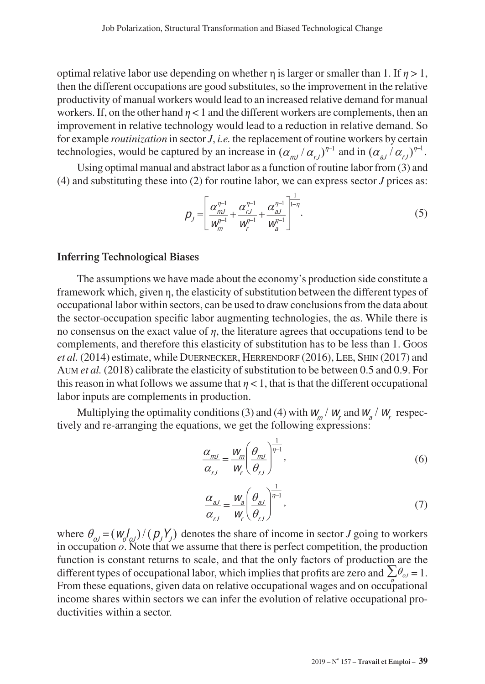optimal relative labor use depending on whether  $\eta$  is larger or smaller than 1. If  $\eta > 1$ , then the different occupations are good substitutes, so the improvement in the relative productivity of manual workers would lead to an increased relative demand for manual workers. If, on the other hand  $n < 1$  and the different workers are complements, then an improvement in relative technology would lead to a reduction in relative demand. So for example *routinization* in sector *J*, *i.e.* the replacement of routine workers by certain technologies, would be captured by an increase in  $(\alpha_{ml}/\alpha_{rl})^{\eta-1}$  and in  $(\alpha_{al}/\alpha_{rl})^{\eta-1}$ .

Using optimal manual and abstract labor as a function of routine labor from (3) and (4) and substituting these into (2) for routine labor, we can express sector *J* prices as:

$$
p_{j} = \left[ \frac{\alpha_{mj}^{\eta-1}}{w_{m}^{\eta-1}} + \frac{\alpha_{rj}^{\eta-1}}{w_{r}^{\eta-1}} + \frac{\alpha_{a,j}^{\eta-1}}{w_{a}^{\eta-1}} \right]^{1-\eta}.
$$
 (5)

## **Inferring Technological Biases**

The assumptions we have made about the economy's production side constitute a framework which, given η, the elasticity of substitution between the different types of occupational labor within sectors, can be used to draw conclusions from the data about the sector-occupation specific labor augmenting technologies, the αs. While there is no consensus on the exact value of *η*, the literature agrees that occupations tend to be complements, and therefore this elasticity of substitution has to be less than 1. Goos *et al.* (2014) estimate, while DUERNECKER, HERRENDORF (2016), LEE, SHIN (2017) and Aum *et al.* (2018) calibrate the elasticity of substitution to be between 0.5 and 0.9. For this reason in what follows we assume that  $\eta$  < 1, that is that the different occupational labor inputs are complements in production.

Multiplying the optimality conditions (3) and (4) with  $W_m / W_r$  and  $W_a / W_r$  respectively and re-arranging the equations, we get the following expressions:

$$
\frac{\alpha_{mJ}}{\alpha_{rJ}} = \frac{W_m}{W_r} \left(\frac{\theta_{mJ}}{\theta_{rJ}}\right)^{\frac{1}{\eta - 1}},
$$
\n(6)

$$
\frac{\alpha_{aJ}}{\alpha_{rJ}} = \frac{W_a}{W_r} \left(\frac{\theta_{aJ}}{\theta_{rJ}}\right)^{\frac{1}{\eta - 1}},\tag{7}
$$

where  $\theta_{ol} = (W_{ol}^f) / (p_j Y_j)$  denotes the share of income in sector *J* going to workers in occupation *o*. Note that we assume that there is perfect competition, the production function is constant returns to scale, and that the only factors of production are the different types of occupational labor, which implies that profits are zero and  $\sum \theta_{\omega} = 1$ . From these equations, given data on relative occupational wages and on occupational income shares within sectors we can infer the evolution of relative occupational productivities within a sector.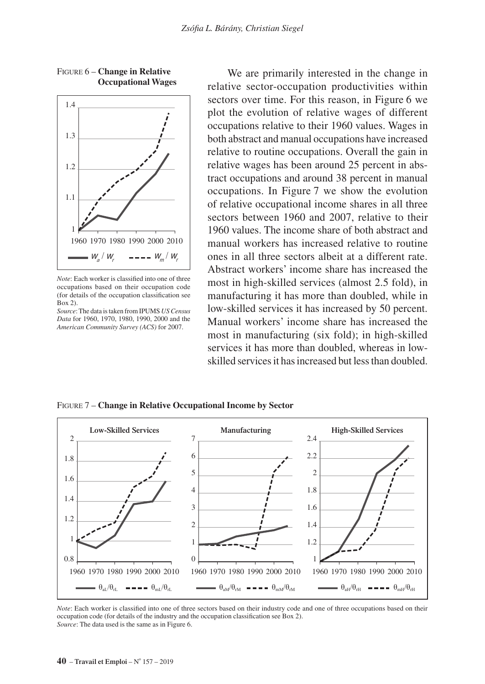

Figure 6 – **Change in Relative Occupational Wages**

*Note*: Each worker is classified into one of three occupations based on their occupation code (for details of the occupation classification see Box 2).

We are primarily interested in the change in relative sector-occupation productivities within sectors over time. For this reason, in Figure 6 we plot the evolution of relative wages of different occupations relative to their 1960 values. Wages in both abstract and manual occupations have increased relative to routine occupations. Overall the gain in relative wages has been around 25 percent in abstract occupations and around 38 percent in manual occupations. In Figure 7 we show the evolution of relative occupational income shares in all three sectors between 1960 and 2007, relative to their 1960 values. The income share of both abstract and manual workers has increased relative to routine ones in all three sectors albeit at a different rate. Abstract workers' income share has increased the most in high-skilled services (almost 2.5 fold), in manufacturing it has more than doubled, while in low-skilled services it has increased by 50 percent. Manual workers' income share has increased the most in manufacturing (six fold); in high-skilled services it has more than doubled, whereas in lowskilled services it has increased but less than doubled.

Figure 7 – **Change in Relative Occupational Income by Sector**



*Note*: Each worker is classified into one of three sectors based on their industry code and one of three occupations based on their occupation code (for details of the industry and the occupation classification see Box 2). *Source*: The data used is the same as in Figure 6.

*Source*: The data is taken from IPUMS *US Census Data* for 1960, 1970, 1980, 1990, 2000 and the *American Community Survey (ACS)* for 2007.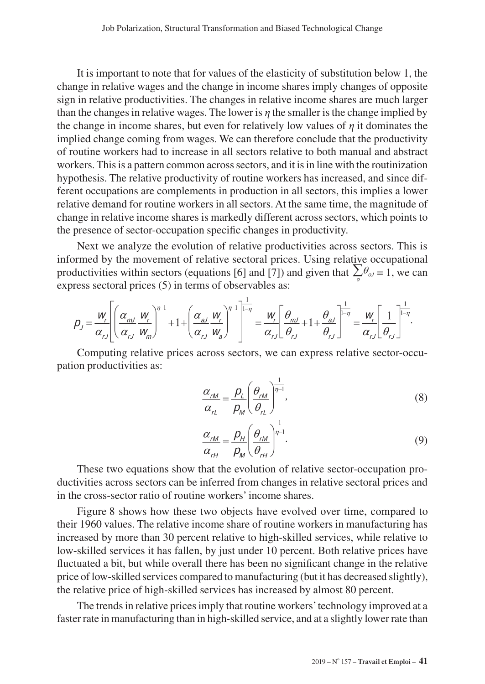It is important to note that for values of the elasticity of substitution below 1, the change in relative wages and the change in income shares imply changes of opposite sign in relative productivities. The changes in relative income shares are much larger than the changes in relative wages. The lower is *η* the smaller is the change implied by the change in income shares, but even for relatively low values of *η* it dominates the implied change coming from wages. We can therefore conclude that the productivity of routine workers had to increase in all sectors relative to both manual and abstract workers. This is a pattern common across sectors, and it is in line with the routinization hypothesis. The relative productivity of routine workers has increased, and since different occupations are complements in production in all sectors, this implies a lower relative demand for routine workers in all sectors. At the same time, the magnitude of change in relative income shares is markedly different across sectors, which points to the presence of sector-occupation specific changes in productivity.

Next we analyze the evolution of relative productivities across sectors. This is informed by the movement of relative sectoral prices. Using relative occupational productivities within sectors (equations [6] and [7]) and given that  $\sum_{n=0}^{\infty} \theta_{\alpha} = 1$ , we can express sectoral prices (5) in terms of observables as:

$$
p_{j} = \frac{W_{r}}{\alpha_{rj}} \left[ \left( \frac{\alpha_{mj}}{\alpha_{rj}} \frac{W_{r}}{W_{m}} \right)^{\eta-1} + 1 + \left( \frac{\alpha_{a,j}}{\alpha_{rj}} \frac{W_{r}}{W_{a}} \right)^{\eta-1} \right]^{-\frac{1}{\eta-1}} = \frac{W_{r}}{\alpha_{rj}} \left[ \frac{\theta_{mj}}{\theta_{rj}} + 1 + \frac{\theta_{a,j}}{\theta_{rj}} \right]^{-\frac{1}{\eta-1}} = \frac{W_{r}}{\alpha_{rj}} \left[ \frac{1}{\theta_{rj}} \right]^{-\frac{1}{\eta-1}}.
$$

Computing relative prices across sectors, we can express relative sector-occupation productivities as:

$$
\frac{\alpha_{rM}}{\alpha_{rL}} = \frac{p_L}{p_M} \left( \frac{\theta_{rM}}{\theta_{rL}} \right)^{\frac{1}{\eta - 1}},\tag{8}
$$

$$
\frac{\alpha_{rM}}{\alpha_{rH}} = \frac{p_H}{p_M} \left( \frac{\theta_{rM}}{\theta_{rH}} \right)^{\frac{1}{\eta - 1}}.
$$
\n(9)

These two equations show that the evolution of relative sector-occupation productivities across sectors can be inferred from changes in relative sectoral prices and in the cross-sector ratio of routine workers' income shares.

Figure 8 shows how these two objects have evolved over time, compared to their 1960 values. The relative income share of routine workers in manufacturing has increased by more than 30 percent relative to high-skilled services, while relative to low-skilled services it has fallen, by just under 10 percent. Both relative prices have fluctuated a bit, but while overall there has been no significant change in the relative price of low-skilled services compared to manufacturing (but it has decreased slightly), the relative price of high-skilled services has increased by almost 80 percent.

The trends in relative prices imply that routine workers' technology improved at a faster rate in manufacturing than in high-skilled service, and at a slightly lower rate than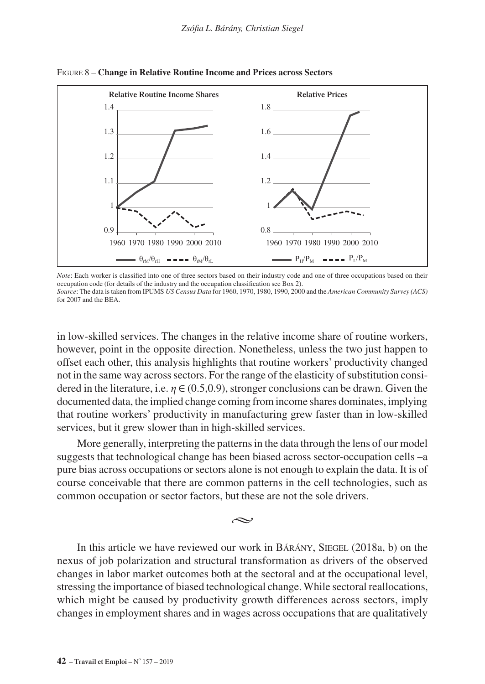

#### Figure 8 – **Change in Relative Routine Income and Prices across Sectors**

*Note*: Each worker is classified into one of three sectors based on their industry code and one of three occupations based on their occupation code (for details of the industry and the occupation classification see Box 2). *Source*: The data is taken from IPUMS *US Census Data* for 1960, 1970, 1980, 1990, 2000 and the *American Community Survey (ACS)*

for 2007 and the BEA.

in low-skilled services. The changes in the relative income share of routine workers, however, point in the opposite direction. Nonetheless, unless the two just happen to offset each other, this analysis highlights that routine workers' productivity changed not in the same way across sectors. For the range of the elasticity of substitution considered in the literature, i.e.  $\eta \in (0.5, 0.9)$ , stronger conclusions can be drawn. Given the documented data, the implied change coming from income shares dominates, implying that routine workers' productivity in manufacturing grew faster than in low-skilled services, but it grew slower than in high-skilled services.

More generally, interpreting the patterns in the data through the lens of our model suggests that technological change has been biased across sector-occupation cells –a pure bias across occupations or sectors alone is not enough to explain the data. It is of course conceivable that there are common patterns in the cell technologies, such as common occupation or sector factors, but these are not the sole drivers.

بحہ

In this article we have reviewed our work in BARANY, SIEGEL (2018a, b) on the nexus of job polarization and structural transformation as drivers of the observed changes in labor market outcomes both at the sectoral and at the occupational level, stressing the importance of biased technological change. While sectoral reallocations, which might be caused by productivity growth differences across sectors, imply changes in employment shares and in wages across occupations that are qualitatively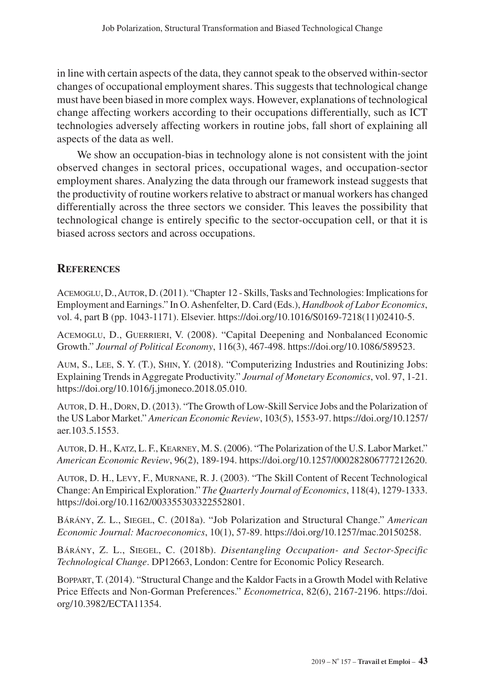in line with certain aspects of the data, they cannot speak to the observed within-sector changes of occupational employment shares. This suggests that technological change must have been biased in more complex ways. However, explanations of technological change affecting workers according to their occupations differentially, such as ICT technologies adversely affecting workers in routine jobs, fall short of explaining all aspects of the data as well.

We show an occupation-bias in technology alone is not consistent with the joint observed changes in sectoral prices, occupational wages, and occupation-sector employment shares. Analyzing the data through our framework instead suggests that the productivity of routine workers relative to abstract or manual workers has changed differentially across the three sectors we consider. This leaves the possibility that technological change is entirely specific to the sector-occupation cell, or that it is biased across sectors and across occupations.

## **References**

Acemoglu, D., Autor, D. (2011). "Chapter 12 - Skills, Tasks and Technologies: Implications for Employment and Earnings." In O. Ashenfelter, D. Card (Eds.), *Handbook of Labor Economics*, vol. 4, part B (pp. 1043-1171). Elsevier. [https://doi.org/10.1016/S0169-7218\(11\)02410-5.](https://doi.org/10.1016/S0169-7218(11)02410-5)

Acemoglu, D., Guerrieri, V. (2008). "Capital Deepening and Nonbalanced Economic Growth." *Journal of Political Economy*, 116(3), 467-498.<https://doi.org/10.1086/589523>.

Aum, S., Lee, S. Y. (T.), Shin, Y. (2018). "Computerizing Industries and Routinizing Jobs: Explaining Trends in Aggregate Productivity." *Journal of Monetary Economics*, vol. 97, 1-21. <https://doi.org/10.1016/j.jmoneco.2018.05.010>.

Autor, D. H., Dorn, D. (2013). "The Growth of Low-Skill Service Jobs and the Polarization of the US Labor Market." *American Economic Review*, 103(5), 1553-97. [https://doi.org/10.1257/](https://doi.org/10.1257/aer.103.5.1553) [aer.103.5.1553.](https://doi.org/10.1257/aer.103.5.1553)

Autor, D. H., Katz, L. F., Kearney, M. S. (2006). "The Polarization of the U.S. Labor Market." *American Economic Review*, 96(2), 189-194.<https://doi.org/10.1257/000282806777212620>.

Autor, D. H., Levy, F., Murnane, R. J. (2003). "The Skill Content of Recent Technological Change: An Empirical Exploration." *The Quarterly Journal of Economics*, 118(4), 1279-1333. [https://doi.org/10.1162/003355303322552801.](https://doi.org/10.1162/003355303322552801)

Bárány, Z. L., Siegel, C. (2018a). "Job Polarization and Structural Change." *American Economic Journal: Macroeconomics*, 10(1), 57-89.<https://doi.org/10.1257/mac.20150258>.

Bárány, Z. L., Siegel, C. (2018b). *Disentangling Occupation- and Sector-Specific Technological Change*. DP12663, London: Centre for Economic Policy Research.

Boppart, T. (2014). "Structural Change and the Kaldor Facts in a Growth Model with Relative Price Effects and Non-Gorman Preferences." *Econometrica*, 82(6), 2167-2196. [https://doi.](https://doi.org/10.3982/ECTA11354) [org/10.3982/ECTA11354](https://doi.org/10.3982/ECTA11354).